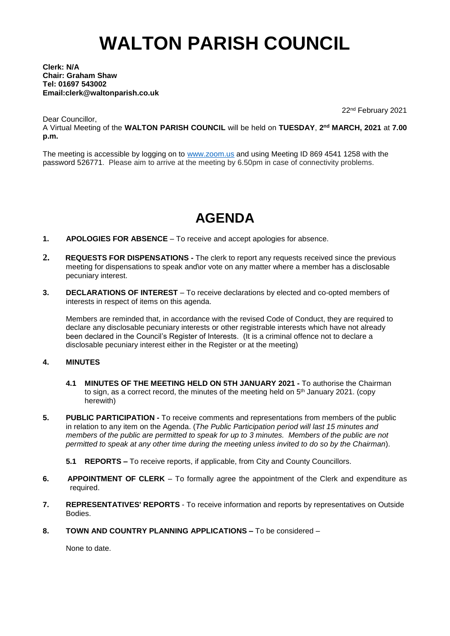# **WALTON PARISH COUNCIL**

### **Clerk: N/A Chair: Graham Shaw Tel: 01697 543002 Email:clerk@waltonparish.co.uk**

Dear Councillor,

22 nd February 2021

A Virtual Meeting of the **WALTON PARISH COUNCIL** will be held on **TUESDAY**, **2 nd MARCH, 2021** at **7.00 p.m.**

The meeting is accessible by logging on to [www.zoom.us](http://www.zoom.us/) and using Meeting ID 869 4541 1258 with the password 526771. Please aim to arrive at the meeting by 6.50pm in case of connectivity problems.

# **AGENDA**

- **1. APOLOGIES FOR ABSENCE** To receive and accept apologies for absence.
- **2. REQUESTS FOR DISPENSATIONS -** The clerk to report any requests received since the previous meeting for dispensations to speak and\or vote on any matter where a member has a disclosable pecuniary interest.
- **3. DECLARATIONS OF INTEREST** To receive declarations by elected and co-opted members of interests in respect of items on this agenda.

 Members are reminded that, in accordance with the revised Code of Conduct, they are required to declare any disclosable pecuniary interests or other registrable interests which have not already been declared in the Council's Register of Interests. (It is a criminal offence not to declare a disclosable pecuniary interest either in the Register or at the meeting)

## **4. MINUTES**

- **4.1 MINUTES OF THE MEETING HELD ON 5TH JANUARY 2021 -** To authorise the Chairman to sign, as a correct record, the minutes of the meeting held on 5<sup>th</sup> January 2021. (copy herewith)
- **5. PUBLIC PARTICIPATION -** To receive comments and representations from members of the public in relation to any item on the Agenda. (*The Public Participation period will last 15 minutes and members of the public are permitted to speak for up to 3 minutes. Members of the public are not permitted to speak at any other time during the meeting unless invited to do so by the Chairman*).
	- **5.1 REPORTS –** To receive reports, if applicable, from City and County Councillors.
- **6. APPOINTMENT OF CLERK** To formally agree the appointment of the Clerk and expenditure as required.
- **7. REPRESENTATIVES' REPORTS** To receive information and reports by representatives on Outside Bodies.
- **8. TOWN AND COUNTRY PLANNING APPLICATIONS –** To be considered –

None to date.